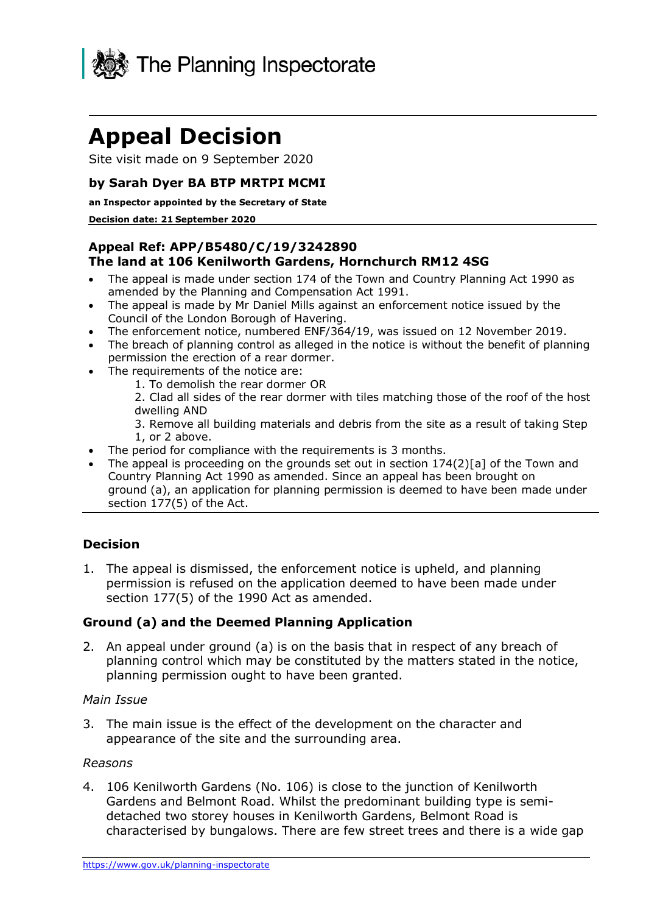

# **Appeal Decision**

Site visit made on 9 September 2020

## **by Sarah Dyer BA BTP MRTPI MCMI**

#### **an Inspector appointed by the Secretary of State**

#### **Decision date: 21 September 2020**

## **Appeal Ref: APP/B5480/C/19/3242890 The land at 106 Kenilworth Gardens, Hornchurch RM12 4SG**

- • The appeal is made under section 174 of the Town and Country Planning Act 1990 as amended by the Planning and Compensation Act 1991.
- • The appeal is made by Mr Daniel Mills against an enforcement notice issued by the Council of the London Borough of Havering.
- The enforcement notice, numbered ENF/364/19, was issued on 12 November 2019.
- • The breach of planning control as alleged in the notice is without the benefit of planning permission the erection of a rear dormer.
- • The requirements of the notice are:
	- 1. To demolish the rear dormer OR

 2. Clad all sides of the rear dormer with tiles matching those of the roof of the host dwelling AND

 3. Remove all building materials and debris from the site as a result of taking Step 1, or 2 above.

- The period for compliance with the requirements is 3 months.
- • The appeal is proceeding on the grounds set out in section 174(2)[a] of the Town and Country Planning Act 1990 as amended. Since an appeal has been brought on ground (a), an application for planning permission is deemed to have been made under section 177(5) of the Act.

# **Decision**

 1. The appeal is dismissed, the enforcement notice is upheld, and planning permission is refused on the application deemed to have been made under section 177(5) of the 1990 Act as amended.

## **Ground (a) and the Deemed Planning Application**

 2. An appeal under ground (a) is on the basis that in respect of any breach of planning control which may be constituted by the matters stated in the notice, planning permission ought to have been granted.

## *Main Issue*

 3. The main issue is the effect of the development on the character and appearance of the site and the surrounding area.

## *Reasons*

 4. 106 Kenilworth Gardens (No. 106) is close to the junction of Kenilworth Gardens and Belmont Road. Whilst the predominant building type is semi- detached two storey houses in Kenilworth Gardens, Belmont Road is characterised by bungalows. There are few street trees and there is a wide gap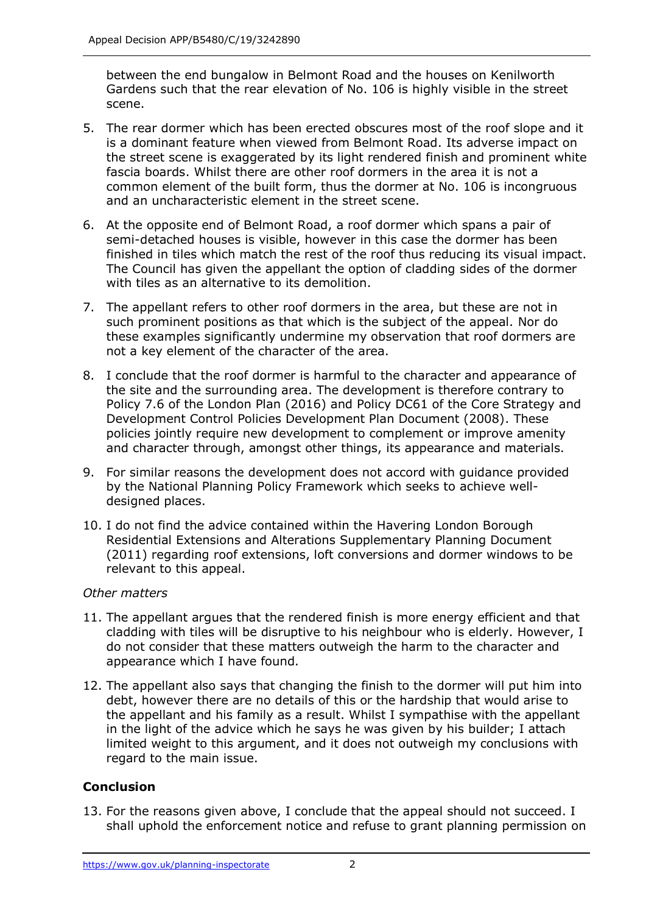between the end bungalow in Belmont Road and the houses on Kenilworth Gardens such that the rear elevation of No. 106 is highly visible in the street scene.

- 5. The rear dormer which has been erected obscures most of the roof slope and it is a dominant feature when viewed from Belmont Road. Its adverse impact on the street scene is exaggerated by its light rendered finish and prominent white fascia boards. Whilst there are other roof dormers in the area it is not a common element of the built form, thus the dormer at No. 106 is incongruous and an uncharacteristic element in the street scene.
- 6. At the opposite end of Belmont Road, a roof dormer which spans a pair of semi-detached houses is visible, however in this case the dormer has been finished in tiles which match the rest of the roof thus reducing its visual impact. The Council has given the appellant the option of cladding sides of the dormer with tiles as an alternative to its demolition.
- 7. The appellant refers to other roof dormers in the area, but these are not in these examples significantly undermine my observation that roof dormers are not a key element of the character of the area. such prominent positions as that which is the subject of the appeal. Nor do
- 8. I conclude that the roof dormer is harmful to the character and appearance of the site and the surrounding area. The development is therefore contrary to Policy 7.6 of the London Plan (2016) and Policy DC61 of the Core Strategy and Development Control Policies Development Plan Document (2008). These policies jointly require new development to complement or improve amenity and character through, amongst other things, its appearance and materials.
- 9. For similar reasons the development does not accord with guidance provided by the National Planning Policy Framework which seeks to achieve welldesigned places.
- 10. I do not find the advice contained within the Havering London Borough Residential Extensions and Alterations Supplementary Planning Document (2011) regarding roof extensions, loft conversions and dormer windows to be relevant to this appeal.

# *Other matters*

- 11. The appellant argues that the rendered finish is more energy efficient and that cladding with tiles will be disruptive to his neighbour who is elderly. However, I do not consider that these matters outweigh the harm to the character and appearance which I have found.
- 12. The appellant also says that changing the finish to the dormer will put him into debt, however there are no details of this or the hardship that would arise to the appellant and his family as a result. Whilst I sympathise with the appellant in the light of the advice which he says he was given by his builder; I attach limited weight to this argument, and it does not outweigh my conclusions with regard to the main issue.

# **Conclusion**

 13. For the reasons given above, I conclude that the appeal should not succeed. I shall uphold the enforcement notice and refuse to grant planning permission on